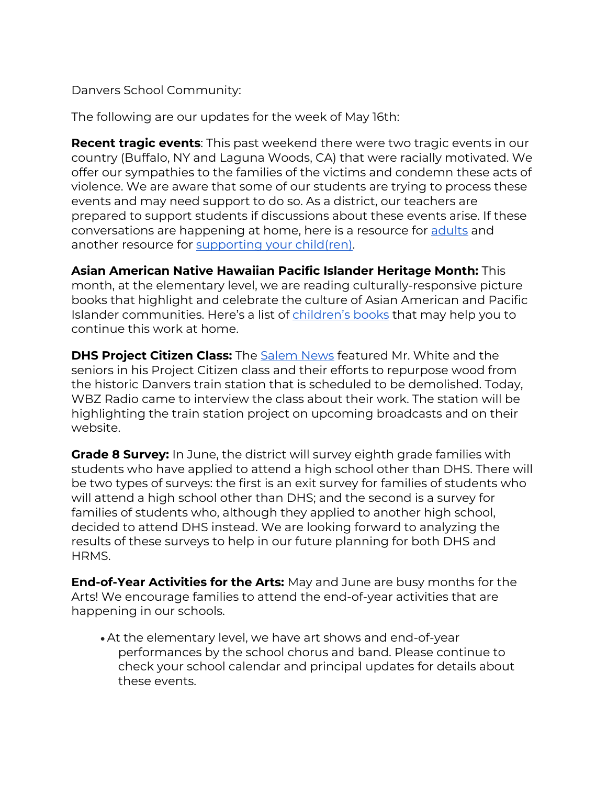Danvers School Community:

The following are our updates for the week of May 16th:

**Recent tragic events**: This past weekend there were two tragic events in our country (Buffalo, NY and Laguna Woods, CA) that were racially motivated. We offer our sympathies to the families of the victims and condemn these acts of violence. We are aware that some of our students are trying to process these events and may need support to do so. As a district, our teachers are prepared to support students if discussions about these events arise. If these conversations are happening at home, here is a resource for [adults](https://www.apa.org/topics/gun-violence-crime/mass-shooting) and another resource for [supporting your child\(ren\).](https://www.nasponline.org/resources-and-publications/resources-and-podcasts/school-safety-and-crisis/school-violence-resources/talking-to-children-about-violence-tips-for-parents-and-teachers)

**Asian American Native Hawaiian Pacific Islander Heritage Month:** This month, at the elementary level, we are reading culturally-responsive picture books that highlight and celebrate the culture of Asian American and Pacific Islander communities. Here's a list of [children's books](https://coloursofus.com/multicultural-childrens-books-lists/asian-ethnicity/asian-multicultural-childrens-books-elementary-school/) that may help you to continue this work at home.

**DHS Project Citizen Class:** The [Salem News](https://www.salemnews.com/news/high-school-to-turn-parts-of-historic-train-station-into-tables/article_41db971c-d147-11ec-9632-7374bf555472.html) featured Mr. White and the seniors in his Project Citizen class and their efforts to repurpose wood from the historic Danvers train station that is scheduled to be demolished. Today, WBZ Radio came to interview the class about their work. The station will be highlighting the train station project on upcoming broadcasts and on their website.

**Grade 8 Survey:** In June, the district will survey eighth grade families with students who have applied to attend a high school other than DHS. There will be two types of surveys: the first is an exit survey for families of students who will attend a high school other than DHS; and the second is a survey for families of students who, although they applied to another high school, decided to attend DHS instead. We are looking forward to analyzing the results of these surveys to help in our future planning for both DHS and HRMS.

**End-of-Year Activities for the Arts:** May and June are busy months for the Arts! We encourage families to attend the end-of-year activities that are happening in our schools.

• At the elementary level, we have art shows and end-of-year performances by the school chorus and band. Please continue to check your school calendar and principal updates for details about these events.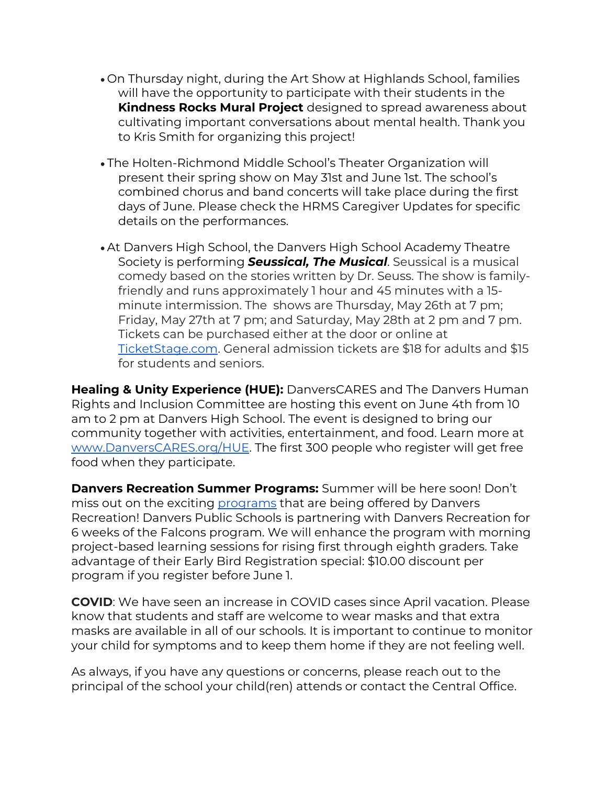- On Thursday night, during the Art Show at Highlands School, families will have the opportunity to participate with their students in the **Kindness Rocks Mural Project** designed to spread awareness about cultivating important conversations about mental health. Thank you to Kris Smith for organizing this project!
- The Holten-Richmond Middle School's Theater Organization will present their spring show on May 31st and June 1st. The school's combined chorus and band concerts will take place during the first days of June. Please check the HRMS Caregiver Updates for specific details on the performances.
- At Danvers High School, the Danvers High School Academy Theatre Society is performing *Seussical, The Musical*. Seussical is a musical comedy based on the stories written by Dr. Seuss. The show is familyfriendly and runs approximately 1 hour and 45 minutes with a 15 minute intermission. The shows are Thursday, May 26th at 7 pm; Friday, May 27th at 7 pm; and Saturday, May 28th at 2 pm and 7 pm. Tickets can be purchased either at the door or online at [TicketStage.com. G](https://www.ticketstage.com/T/DHS)eneral admission tickets are \$18 for adults and \$15 for students and seniors.

**Healing & Unity Experience (HUE):** DanversCARES and The Danvers Human Rights and Inclusion Committee are hosting this event on June 4th from 10 am to 2 pm at Danvers High School. The event is designed to bring our community together with activities, entertainment, and food. Learn more at [www.DanversCARES.org/HUE. The](https://danverscares.org/HUE/) first 300 people who register will get free food when they participate.

**Danvers Recreation Summer Programs:** Summer will be here soon! Don't miss out on the exciting [programs](https://issuu.com/danversrecreation/docs/summer_program_grid) that are being offered by Danvers Recreation! Danvers Public Schools is partnering with Danvers Recreation for 6 weeks of the Falcons program. We will enhance the program with morning project-based learning sessions for rising first through eighth graders. Take advantage of their Early Bird Registration special: \$10.00 discount per program if you register before June 1.

**COVID**: We have seen an increase in COVID cases since April vacation. Please know that students and staff are welcome to wear masks and that extra masks are available in all of our schools. It is important to continue to monitor your child for symptoms and to keep them home if they are not feeling well.

As always, if you have any questions or concerns, please reach out to the principal of the school your child(ren) attends or contact the Central Office.